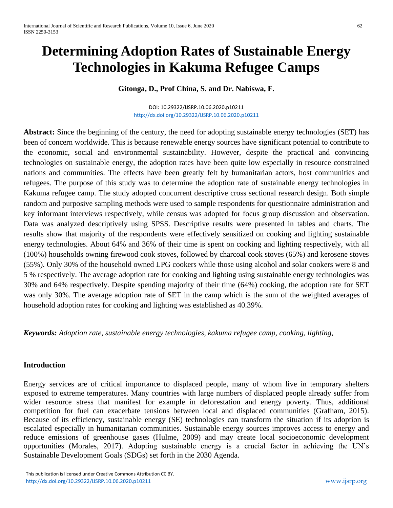# **Determining Adoption Rates of Sustainable Energy Technologies in Kakuma Refugee Camps**

**Gitonga, D., Prof China, S. and Dr. Nabiswa, F.**

DOI: 10.29322/IJSRP.10.06.2020.p10211 <http://dx.doi.org/10.29322/IJSRP.10.06.2020.p10211>

**Abstract:** Since the beginning of the century, the need for adopting sustainable energy technologies (SET) has been of concern worldwide. This is because renewable energy sources have significant potential to contribute to the economic, social and environmental sustainability. However, despite the practical and convincing technologies on sustainable energy, the adoption rates have been quite low especially in resource constrained nations and communities. The effects have been greatly felt by humanitarian actors, host communities and refugees. The purpose of this study was to determine the adoption rate of sustainable energy technologies in Kakuma refugee camp. The study adopted concurrent descriptive cross sectional research design. Both simple random and purposive sampling methods were used to sample respondents for questionnaire administration and key informant interviews respectively, while census was adopted for focus group discussion and observation. Data was analyzed descriptively using SPSS. Descriptive results were presented in tables and charts. The results show that majority of the respondents were effectively sensitized on cooking and lighting sustainable energy technologies. About 64% and 36% of their time is spent on cooking and lighting respectively, with all (100%) households owning firewood cook stoves, followed by charcoal cook stoves (65%) and kerosene stoves (55%). Only 30% of the household owned LPG cookers while those using alcohol and solar cookers were 8 and 5 % respectively. The average adoption rate for cooking and lighting using sustainable energy technologies was 30% and 64% respectively. Despite spending majority of their time (64%) cooking, the adoption rate for SET was only 30%. The average adoption rate of SET in the camp which is the sum of the weighted averages of household adoption rates for cooking and lighting was established as 40.39%.

*Keywords: Adoption rate, sustainable energy technologies, kakuma refugee camp, cooking, lighting,* 

# **Introduction**

Energy services are of critical importance to displaced people, many of whom live in temporary shelters exposed to extreme temperatures. Many countries with large numbers of displaced people already suffer from wider resource stress that manifest for example in deforestation and energy poverty. Thus, additional competition for fuel can exacerbate tensions between local and displaced communities (Grafham, 2015). Because of its efficiency, sustainable energy (SE) technologies can transform the situation if its adoption is escalated especially in humanitarian communities. Sustainable energy sources improves access to energy and reduce emissions of greenhouse gases (Hulme, 2009) and may create local socioeconomic development opportunities (Morales, 2017). Adopting sustainable energy is a crucial factor in achieving the UN's Sustainable Development Goals (SDGs) set forth in the 2030 Agenda.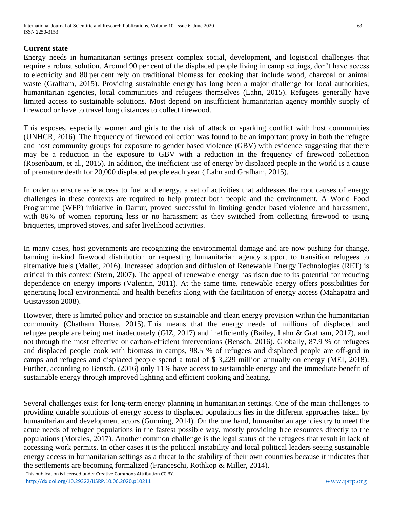#### **Current state**

Energy needs in humanitarian settings present complex social, development, and logistical challenges that require a robust solution. Around 90 per cent of the displaced people living in camp settings, don't have access to electricity and 80 per cent rely on traditional biomass for cooking that include wood, charcoal or animal waste (Grafham, 2015). Providing sustainable energy has long been a major challenge for local authorities, humanitarian agencies, local communities and refugees themselves (Lahn, 2015). Refugees generally have limited access to sustainable solutions. Most depend on insufficient humanitarian agency monthly supply of firewood or have to travel long distances to collect firewood.

This exposes, especially women and girls to the risk of attack or sparking conflict with host communities (UNHCR, 2016). The frequency of firewood collection was found to be an important proxy in both the refugee and host community groups for exposure to gender based violence (GBV) with evidence suggesting that there may be a reduction in the exposure to GBV with a reduction in the frequency of firewood collection (Rosenbaum, et al., 2015). In addition, the inefficient use of energy by displaced people in the world is a cause of premature death for 20,000 displaced people each year ( Lahn and Grafham, 2015).

In order to ensure safe access to fuel and energy, a set of activities that addresses the root causes of energy challenges in these contexts are required to help protect both people and the environment. A World Food Programme (WFP) initiative in Darfur, proved successful in limiting gender based violence and harassment, with 86% of women reporting less or no harassment as they switched from collecting firewood to using briquettes, improved stoves, and safer livelihood activities.

In many cases, host governments are recognizing the environmental damage and are now pushing for change, banning in-kind firewood distribution or requesting humanitarian agency support to transition refugees to alternative fuels (Mallet, 2016). Increased adoption and diffusion of Renewable Energy Technologies (RET) is critical in this context (Stern, 2007). The appeal of renewable energy has risen due to its potential for reducing dependence on energy imports (Valentin, 2011). At the same time, renewable energy offers possibilities for generating local environmental and health benefits along with the facilitation of energy access (Mahapatra and Gustavsson 2008).

However, there is limited policy and practice on sustainable and clean energy provision within the humanitarian community (Chatham House, 2015). This means that the energy needs of millions of displaced and refugee people are being met inadequately (GIZ, 2017) and inefficiently (Bailey, Lahn & Grafham, 2017), and not through the most effective or carbon-efficient interventions (Bensch, 2016). Globally, 87.9 % of refugees and displaced people cook with biomass in camps, 98.5 % of refugees and displaced people are off-grid in camps and refugees and displaced people spend a total of \$ 3,229 million annually on energy (MEI, 2018). Further, according to Bensch, (2016) only 11% have access to sustainable energy and the immediate benefit of sustainable energy through improved lighting and efficient cooking and heating.

Several challenges exist for long-term energy planning in humanitarian settings. One of the main challenges to providing durable solutions of energy access to displaced populations lies in the different approaches taken by humanitarian and development actors (Gunning, 2014). On the one hand, humanitarian agencies try to meet the acute needs of refugee populations in the fastest possible way, mostly providing free resources directly to the populations (Morales, 2017). Another common challenge is the legal status of the refugees that result in lack of accessing work permits. In other cases it is the political instability and local political leaders seeing sustainable energy access in humanitarian settings as a threat to the stability of their own countries because it indicates that the settlements are becoming formalized (Franceschi, Rothkop & Miller, 2014).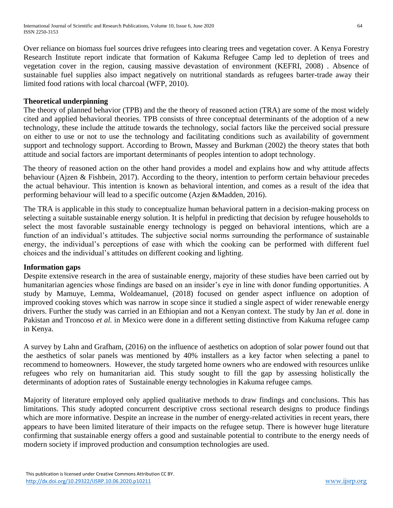Over reliance on biomass fuel sources drive refugees into clearing trees and vegetation cover. A Kenya Forestry Research Institute report indicate that formation of Kakuma Refugee Camp led to depletion of trees and vegetation cover in the region, causing massive devastation of environment (KEFRI, 2008) . Absence of sustainable fuel supplies also impact negatively on nutritional standards as refugees barter-trade away their limited food rations with local charcoal (WFP, 2010).

## **Theoretical underpinning**

The theory of planned behavior (TPB) and the theory of reasoned action (TRA) are some of the most widely cited and applied behavioral theories. TPB consists of three conceptual determinants of the adoption of a new technology, these include the attitude towards the technology, social factors like the perceived social pressure on either to use or not to use the technology and facilitating conditions such as availability of government support and technology support. According to Brown, Massey and Burkman (2002) the theory states that both attitude and social factors are important determinants of peoples intention to adopt technology.

The theory of reasoned action on the other hand provides a model and explains how and why attitude affects behaviour (Ajzen & Fishbein, 2017). According to the theory, intention to perform certain behaviour precedes the actual behaviour. This intention is known as behavioral intention, and comes as a result of the idea that performing behaviour will lead to a specific outcome (Azjen &Madden, 2016).

The TRA is applicable in this study to conceptualize human behavioral pattern in a decision-making process on selecting a suitable sustainable energy solution. It is helpful in predicting that decision by refugee households to select the most favorable sustainable energy technology is pegged on behavioral intentions, which are a function of an individual's attitudes. The subjective social norms surrounding the performance of sustainable energy, the individual's perceptions of ease with which the cooking can be performed with different fuel choices and the individual's attitudes on different cooking and lighting.

#### **Information gaps**

Despite extensive research in the area of sustainable energy, majority of these studies have been carried out by humanitarian agencies whose findings are based on an insider's eye in line with donor funding opportunities. A study by Mamuye, Lemma, Woldeamanuel, (2018) focused on gender aspect influence on adoption of improved cooking stoves which was narrow in scope since it studied a single aspect of wider renewable energy drivers. Further the study was carried in an Ethiopian and not a Kenyan context. The study by Jan *et al.* done in Pakistan and Troncoso *et al.* in Mexico were done in a different setting distinctive from Kakuma refugee camp in Kenya.

A survey by Lahn and Grafham, (2016) on the influence of aesthetics on adoption of solar power found out that the aesthetics of solar panels was mentioned by 40% installers as a key factor when selecting a panel to recommend to homeowners. However, the study targeted home owners who are endowed with resources unlike refugees who rely on humanitarian aid. This study sought to fill the gap by assessing holistically the determinants of adoption rates of Sustainable energy technologies in Kakuma refugee camps.

Majority of literature employed only applied qualitative methods to draw findings and conclusions. This has limitations. This study adopted concurrent descriptive cross sectional research designs to produce findings which are more informative. Despite an increase in the number of energy-related activities in recent years, there appears to have been limited literature of their impacts on the refugee setup. There is however huge literature confirming that sustainable energy offers a good and sustainable potential to contribute to the energy needs of modern society if improved production and consumption technologies are used.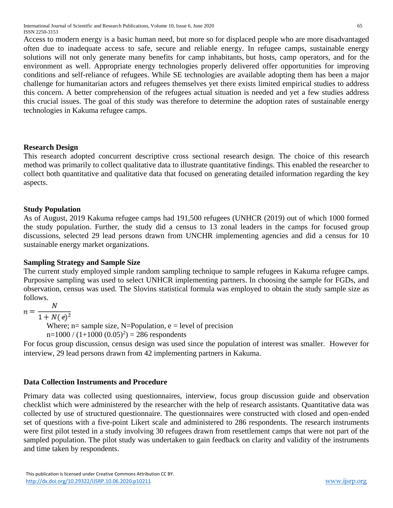Access to modern energy is a basic human need, but more so for displaced people who are more disadvantaged often due to inadequate access to safe, secure and reliable energy. In refugee camps, sustainable energy solutions will not only generate many benefits for camp inhabitants, but hosts, camp operators, and for the environment as well. Appropriate energy technologies properly delivered offer opportunities for improving conditions and self-reliance of refugees. While SE technologies are available adopting them has been a major challenge for humanitarian actors and refugees themselves yet there exists limited empirical studies to address this concern. A better comprehension of the refugees actual situation is needed and yet a few studies address this crucial issues. The goal of this study was therefore to determine the adoption rates of sustainable energy technologies in Kakuma refugee camps.

# **Research Design**

This research adopted concurrent descriptive cross sectional research design. The choice of this research method was primarily to collect qualitative data to illustrate quantitative findings. This enabled the researcher to collect both quantitative and qualitative data that focused on generating detailed information regarding the key aspects.

### **Study Population**

As of August, 2019 Kakuma refugee camps had 191,500 refugees (UNHCR (2019) out of which 1000 formed the study population. Further, the study did a census to 13 zonal leaders in the camps for focused group discussions, selected 29 lead persons drawn from UNCHR implementing agencies and did a census for 10 sustainable energy market organizations.

# **Sampling Strategy and Sample Size**

The current study employed simple random sampling technique to sample refugees in Kakuma refugee camps. Purposive sampling was used to select UNHCR implementing partners. In choosing the sample for FGDs, and observation, census was used. The Slovins statistical formula was employed to obtain the study sample size as follows.

$$
n = \frac{N}{1 + N(s)}
$$

 $1 + N(e)^2$ 

Where;  $n=$  sample size, N=Population,  $e =$  level of precision

 $n=1000 / (1+1000 (0.05)^{2}) = 286$  respondents

For focus group discussion, census design was used since the population of interest was smaller. However for interview, 29 lead persons drawn from 42 implementing partners in Kakuma.

# **Data Collection Instruments and Procedure**

Primary data was collected using questionnaires, interview, focus group discussion guide and observation checklist which were administered by the researcher with the help of research assistants. Quantitative data was collected by use of structured questionnaire. The questionnaires were constructed with closed and open-ended set of questions with a five-point Likert scale and administered to 286 respondents. The research instruments were first pilot tested in a study involving 30 refugees drawn from resettlement camps that were not part of the sampled population. The pilot study was undertaken to gain feedback on clarity and validity of the instruments and time taken by respondents.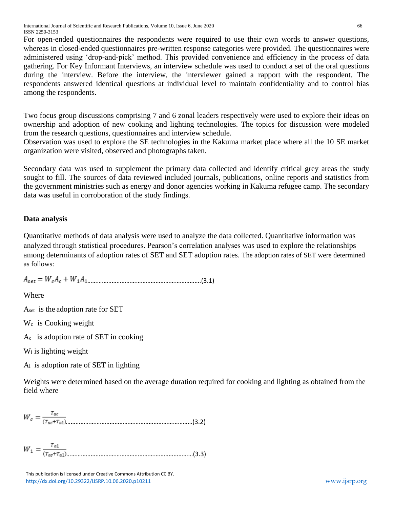International Journal of Scientific and Research Publications, Volume 10, Issue 6, June 2020 66 ISSN 2250-3153

For open-ended questionnaires the respondents were required to use their own words to answer questions, whereas in closed-ended questionnaires pre-written response categories were provided. The questionnaires were administered using 'drop-and-pick' method. This provided convenience and efficiency in the process of data gathering. For Key Informant Interviews, an interview schedule was used to conduct a set of the oral questions during the interview. Before the interview, the interviewer gained a rapport with the respondent. The respondents answered identical questions at individual level to maintain confidentiality and to control bias among the respondents.

Two focus group discussions comprising 7 and 6 zonal leaders respectively were used to explore their ideas on ownership and adoption of new cooking and lighting technologies. The topics for discussion were modeled from the research questions, questionnaires and interview schedule.

Observation was used to explore the SE technologies in the Kakuma market place where all the 10 SE market organization were visited, observed and photographs taken.

Secondary data was used to supplement the primary data collected and identify critical grey areas the study sought to fill. The sources of data reviewed included journals, publications, online reports and statistics from the government ministries such as energy and donor agencies working in Kakuma refugee camp. The secondary data was useful in corroboration of the study findings.

# **Data analysis**

Quantitative methods of data analysis were used to analyze the data collected. Quantitative information was analyzed through statistical procedures. Pearson's correlation analyses was used to explore the relationships among determinants of adoption rates of SET and SET adoption rates. The adoption rates of SET were determined as follows:

 $A_{\text{set}} = W_{\text{c}}A_{\text{c}} + W_{1}A_{1}$  (3.1)

Where

Aset is the adoption rate for SET

Wc is Cooking weight

Ac is adoption rate of SET in cooking

 $W<sub>1</sub>$  is lighting weight

 $A<sub>l</sub>$  is adoption rate of SET in lighting

Weights were determined based on the average duration required for cooking and lighting as obtained from the field where

……………………………………………………………………(3.2)

……………………………………………………………………(3.3)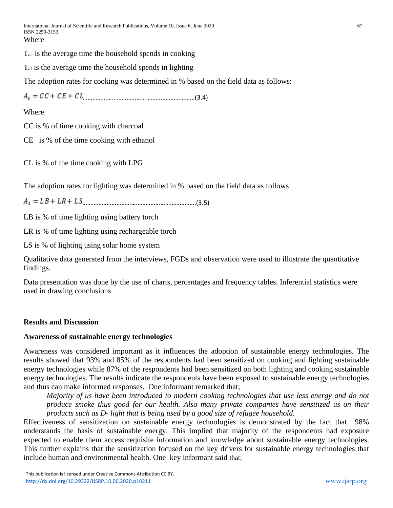Tac is the average time the household spends in cooking

Tal is the average time the household spends in lighting

The adoption rates for cooking was determined in % based on the field data as follows:

……………………………………………………………(3.4)

Where

CC is % of time cooking with charcoal

CE is % of the time cooking with ethanol

CL is % of the time cooking with LPG

The adoption rates for lighting was determined in % based on the field data as follows

…………………………………………………………….(3.5)

LB is % of time lighting using battery torch

LR is % of time lighting using rechargeable torch

LS is % of lighting using solar home system

Qualitative data generated from the interviews, FGDs and observation were used to illustrate the quantitative findings.

Data presentation was done by the use of charts, percentages and frequency tables. Inferential statistics were used in drawing conclusions

#### **Results and Discussion**

#### **Awareness of sustainable energy technologies**

Awareness was considered important as it influences the adoption of sustainable energy technologies. The results showed that 93% and 85% of the respondents had been sensitized on cooking and lighting sustainable energy technologies while 87% of the respondents had been sensitized on both lighting and cooking sustainable energy technologies. The results indicate the respondents have been exposed to sustainable energy technologies and thus can make informed responses. One informant remarked that;

*Majority of us have been introduced to modern cooking technologies that use less energy and do not produce smoke thus good for our health. Also many private companies have sensitized us on their products such as D- light that is being used by a good size of refugee household.*

Effectiveness of sensitization on sustainable energy technologies is demonstrated by the fact that 98% understands the basis of sustainable energy. This implied that majority of the respondents had exposure expected to enable them access requisite information and knowledge about sustainable energy technologies. This further explains that the sensitization focused on the key drivers for sustainable energy technologies that include human and environmental health. One key informant said that;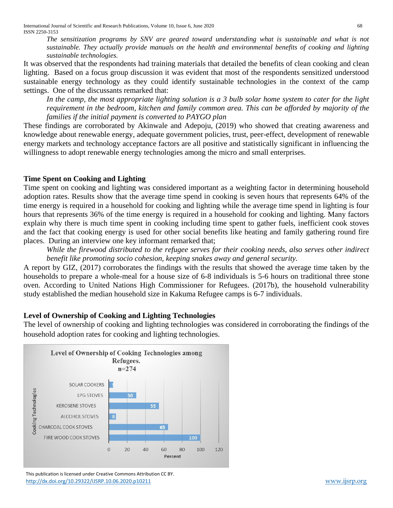*The sensitization programs by SNV are geared toward understanding what is sustainable and what is not sustainable. They actually provide manuals on the health and environmental benefits of cooking and lighting sustainable technologies.* 

It was observed that the respondents had training materials that detailed the benefits of clean cooking and clean lighting. Based on a focus group discussion it was evident that most of the respondents sensitized understood sustainable energy technology as they could identify sustainable technologies in the context of the camp settings. One of the discussants remarked that:

*In the camp, the most appropriate lighting solution is a 3 bulb solar home system to cater for the light requirement in the bedroom, kitchen and family common area. This can be afforded by majority of the families if the initial payment is converted to PAYGO plan*

These findings are corroborated by Akinwale and Adepoju, (2019) who showed that creating awareness and knowledge about renewable energy, adequate government policies, trust, peer-effect, development of renewable energy markets and technology acceptance factors are all positive and statistically significant in influencing the willingness to adopt renewable energy technologies among the micro and small enterprises.

# **Time Spent on Cooking and Lighting**

Time spent on cooking and lighting was considered important as a weighting factor in determining household adoption rates. Results show that the average time spend in cooking is seven hours that represents 64% of the time energy is required in a household for cooking and lighting while the average time spend in lighting is four hours that represents 36% of the time energy is required in a household for cooking and lighting. Many factors explain why there is much time spent in cooking including time spent to gather fuels, inefficient cook stoves and the fact that cooking energy is used for other social benefits like heating and family gathering round fire places. During an interview one key informant remarked that;

*While the firewood distributed to the refugee serves for their cooking needs, also serves other indirect benefit like promoting socio cohesion, keeping snakes away and general security.*

A report by GIZ, (2017) corroborates the findings with the results that showed the average time taken by the households to prepare a whole-meal for a house size of 6-8 individuals is 5-6 hours on traditional three stone oven. According to United Nations High Commissioner for Refugees. (2017b), the household vulnerability study established the median household size in Kakuma Refugee camps is 6-7 individuals.

# **Level of Ownership of Cooking and Lighting Technologies**

The level of ownership of cooking and lighting technologies was considered in corroborating the findings of the household adoption rates for cooking and lighting technologies.



 This publication is licensed under Creative Commons Attribution CC BY. <http://dx.doi.org/10.29322/IJSRP.10.06.2020.p10211> [www.ijsrp.org](http://ijsrp.org/)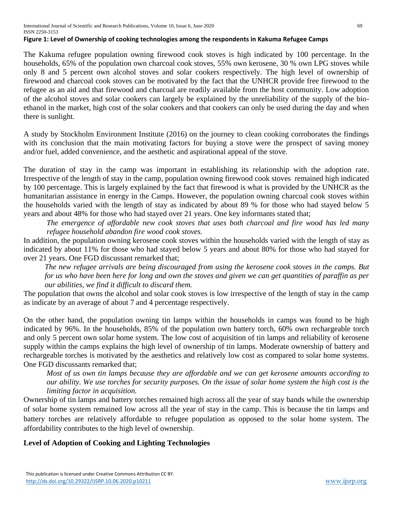#### **Figure 1: Level of Ownership of cooking technologies among the respondents in Kakuma Refugee Camps**

The Kakuma refugee population owning firewood cook stoves is high indicated by 100 percentage. In the households, 65% of the population own charcoal cook stoves, 55% own kerosene, 30 % own LPG stoves while only 8 and 5 percent own alcohol stoves and solar cookers respectively. The high level of ownership of firewood and charcoal cook stoves can be motivated by the fact that the UNHCR provide free firewood to the refugee as an aid and that firewood and charcoal are readily available from the host community. Low adoption of the alcohol stoves and solar cookers can largely be explained by the unreliability of the supply of the bioethanol in the market, high cost of the solar cookers and that cookers can only be used during the day and when there is sunlight.

A study by Stockholm Environment Institute (2016) on the journey to clean cooking corroborates the findings with its conclusion that the main motivating factors for buying a stove were the prospect of saving money and/or fuel, added convenience, and the aesthetic and aspirational appeal of the stove.

The duration of stay in the camp was important in establishing its relationship with the adoption rate. Irrespective of the length of stay in the camp, population owning firewood cook stoves remained high indicated by 100 percentage. This is largely explained by the fact that firewood is what is provided by the UNHCR as the humanitarian assistance in energy in the Camps. However, the population owning charcoal cook stoves within the households varied with the length of stay as indicated by about 89 % for those who had stayed below 5 years and about 48% for those who had stayed over 21 years. One key informants stated that;

*The emergence of affordable new cook stoves that uses both charcoal and fire wood has led many refugee household abandon fire wood cook stoves.* 

In addition, the population owning kerosene cook stoves within the households varied with the length of stay as indicated by about 11% for those who had stayed below 5 years and about 80% for those who had stayed for over 21 years. One FGD discussant remarked that;

*The new refugee arrivals are being discouraged from using the kerosene cook stoves in the camps. But for us who have been here for long and own the stoves and given we can get quantities of paraffin as per our abilities, we find it difficult to discard them.* 

The population that owns the alcohol and solar cook stoves is low irrespective of the length of stay in the camp as indicate by an average of about 7 and 4 percentage respectively.

On the other hand, the population owning tin lamps within the households in camps was found to be high indicated by 96%. In the households, 85% of the population own battery torch, 60% own rechargeable torch and only 5 percent own solar home system. The low cost of acquisition of tin lamps and reliability of kerosene supply within the camps explains the high level of ownership of tin lamps. Moderate ownership of battery and rechargeable torches is motivated by the aesthetics and relatively low cost as compared to solar home systems. One FGD discussants remarked that;

*Most of us own tin lamps because they are affordable and we can get kerosene amounts according to our ability. We use torches for security purposes. On the issue of solar home system the high cost is the limiting factor in acquisition.* 

Ownership of tin lamps and battery torches remained high across all the year of stay bands while the ownership of solar home system remained low across all the year of stay in the camp. This is because the tin lamps and battery torches are relatively affordable to refugee population as opposed to the solar home system. The affordability contributes to the high level of ownership.

# **Level of Adoption of Cooking and Lighting Technologies**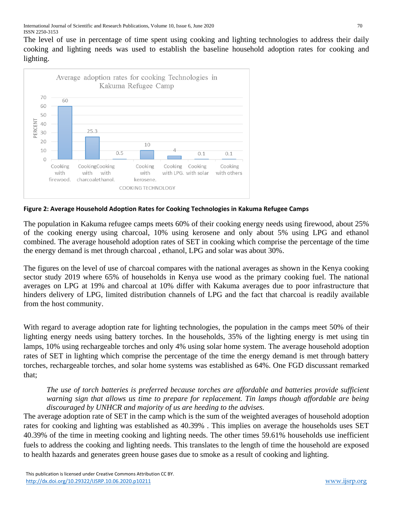The level of use in percentage of time spent using cooking and lighting technologies to address their daily cooking and lighting needs was used to establish the baseline household adoption rates for cooking and lighting.



**Figure 2: Average Household Adoption Rates for Cooking Technologies in Kakuma Refugee Camps**

The population in Kakuma refugee camps meets 60% of their cooking energy needs using firewood, about 25% of the cooking energy using charcoal, 10% using kerosene and only about 5% using LPG and ethanol combined. The average household adoption rates of SET in cooking which comprise the percentage of the time the energy demand is met through charcoal , ethanol, LPG and solar was about 30%.

The figures on the level of use of charcoal compares with the national averages as shown in the Kenya cooking sector study 2019 where 65% of households in Kenya use wood as the primary cooking fuel. The national averages on LPG at 19% and charcoal at 10% differ with Kakuma averages due to poor infrastructure that hinders delivery of LPG, limited distribution channels of LPG and the fact that charcoal is readily available from the host community.

With regard to average adoption rate for lighting technologies, the population in the camps meet 50% of their lighting energy needs using battery torches. In the households, 35% of the lighting energy is met using tin lamps, 10% using rechargeable torches and only 4% using solar home system. The average household adoption rates of SET in lighting which comprise the percentage of the time the energy demand is met through battery torches, rechargeable torches, and solar home systems was established as 64%. One FGD discussant remarked that;

*The use of torch batteries is preferred because torches are affordable and batteries provide sufficient warning sign that allows us time to prepare for replacement. Tin lamps though affordable are being discouraged by UNHCR and majority of us are heeding to the advises.* 

The average adoption rate of SET in the camp which is the sum of the weighted averages of household adoption rates for cooking and lighting was established as 40.39% . This implies on average the households uses SET 40.39% of the time in meeting cooking and lighting needs. The other times 59.61% households use inefficient fuels to address the cooking and lighting needs. This translates to the length of time the household are exposed to health hazards and generates green house gases due to smoke as a result of cooking and lighting.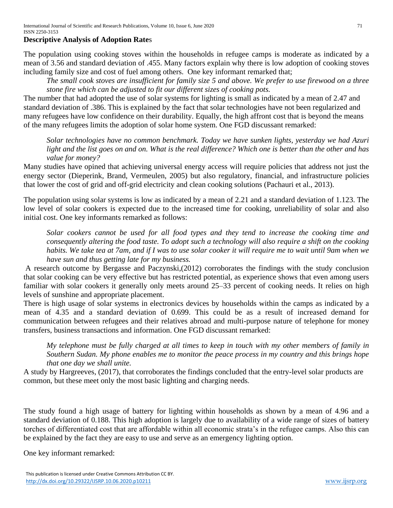### **Descriptive Analysis of Adoption Rate**s

The population using cooking stoves within the households in refugee camps is moderate as indicated by a mean of 3.56 and standard deviation of .455. Many factors explain why there is low adoption of cooking stoves including family size and cost of fuel among others. One key informant remarked that;

*The small cook stoves are insufficient for family size 5 and above. We prefer to use firewood on a three stone fire which can be adjusted to fit our different sizes of cooking pots.*

The number that had adopted the use of solar systems for lighting is small as indicated by a mean of 2.47 and standard deviation of .386. This is explained by the fact that solar technologies have not been regularized and many refugees have low confidence on their durability. Equally, the high affront cost that is beyond the means of the many refugees limits the adoption of solar home system. One FGD discussant remarked:

*Solar technologies have no common benchmark. Today we have sunken lights, yesterday we had Azuri light and the list goes on and on. What is the real difference? Which one is better than the other and has value for money?* 

Many studies have opined that achieving universal energy access will require policies that address not just the energy sector (Dieperink, Brand, Vermeulen, 2005) but also regulatory, financial, and infrastructure policies that lower the cost of grid and off-grid electricity and clean cooking solutions (Pachauri et al., 2013).

The population using solar systems is low as indicated by a mean of 2.21 and a standard deviation of 1.123. The low level of solar cookers is expected due to the increased time for cooking, unreliability of solar and also initial cost. One key informants remarked as follows:

*Solar cookers cannot be used for all food types and they tend to increase the cooking time and consequently altering the food taste. To adopt such a technology will also require a shift on the cooking habits. We take tea at 7am, and if I was to use solar cooker it will require me to wait until 9am when we have sun and thus getting late for my business.* 

A research outcome by Bergasse and Paczynski,(2012) corroborates the findings with the study conclusion that solar cooking can be very effective but has restricted potential, as experience shows that even among users familiar with solar cookers it generally only meets around 25–33 percent of cooking needs. It relies on high levels of sunshine and appropriate placement.

There is high usage of solar systems in electronics devices by households within the camps as indicated by a mean of 4.35 and a standard deviation of 0.699. This could be as a result of increased demand for communication between refugees and their relatives abroad and multi-purpose nature of telephone for money transfers, business transactions and information. One FGD discussant remarked:

*My telephone must be fully charged at all times to keep in touch with my other members of family in Southern Sudan. My phone enables me to monitor the peace process in my country and this brings hope that one day we shall unite.*

A study by Hargreeves, (2017), that corroborates the findings concluded that the entry-level solar products are common, but these meet only the most basic lighting and charging needs.

The study found a high usage of battery for lighting within households as shown by a mean of 4.96 and a standard deviation of 0.188. This high adoption is largely due to availability of a wide range of sizes of battery torches of differentiated cost that are affordable within all economic strata's in the refugee camps. Also this can be explained by the fact they are easy to use and serve as an emergency lighting option.

One key informant remarked: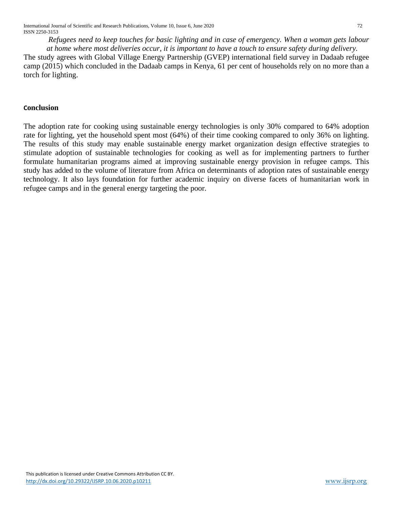International Journal of Scientific and Research Publications, Volume 10, Issue 6, June 2020 72 ISSN 2250-3153

*Refugees need to keep touches for basic lighting and in case of emergency. When a woman gets labour at home where most deliveries occur, it is important to have a touch to ensure safety during delivery.* 

The study agrees with Global Village Energy Partnership (GVEP) international field survey in Dadaab refugee camp (2015) which concluded in the Dadaab camps in Kenya, 61 per cent of households rely on no more than a torch for lighting.

#### **Conclusion**

The adoption rate for cooking using sustainable energy technologies is only 30% compared to 64% adoption rate for lighting, yet the household spent most (64%) of their time cooking compared to only 36% on lighting. The results of this study may enable sustainable energy market organization design effective strategies to stimulate adoption of sustainable technologies for cooking as well as for implementing partners to further formulate humanitarian programs aimed at improving sustainable energy provision in refugee camps. This study has added to the volume of literature from Africa on determinants of adoption rates of sustainable energy technology. It also lays foundation for further academic inquiry on diverse facets of humanitarian work in refugee camps and in the general energy targeting the poor.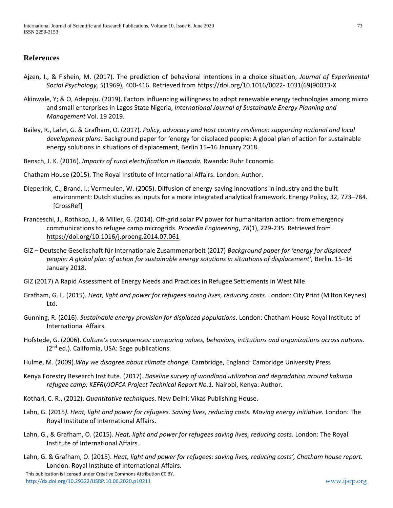### **References**

- Ajzen, I., & Fishein, M. (2017). The prediction of behavioral intentions in a choice situation, *Journal of Experimental Social Psychology, 5*(1969), 400-416. Retrieved from https://doi.org/10.1016/0022- 1031(69)90033-X
- Akinwale, Y; & O, Adepoju. (2019). Factors influencing willingness to adopt renewable energy technologies among micro and small enterprises in Lagos State Nigeria, *International Journal of Sustainable Energy Planning and Management* Vol. 19 2019.
- Bailey, R., Lahn, G. & Grafham, O. (2017). *Policy, advocacy and host country resilience: supporting national and local development plans*. Background paper for 'energy for displaced people: A global plan of action for sustainable energy solutions in situations of displacement, Berlin 15–16 January 2018.
- Bensch, J. K. (2016). *Impacts of rural electrification in Rwanda.* Rwanda: Ruhr Economic.
- Chatham House (2015). The Royal Institute of International Affairs. London: Author.
- Dieperink, C.; Brand, I.; Vermeulen, W. (2005). Diffusion of energy-saving innovations in industry and the built environment: Dutch studies as inputs for a more integrated analytical framework. Energy Policy, 32, 773–784. [CrossRef]
- Franceschi, J., Rothkop, J., & Miller, G. (2014). Off-grid solar PV power for humanitarian action: from emergency communications to refugee camp microgrids. *Procedia Engineering*, *78*(1), 229-235. Retrieved from <https://doi.org/10.1016/j.proeng.2014.07.061>
- GIZ Deutsche Gesellschaft für Internationale Zusammenarbeit (2017) *Background paper for 'energy for displaced people: A global plan of action for sustainable energy solutions in situations of displacement',* Berlin. 15–16 January 2018.
- GIZ (2017) A Rapid Assessment of Energy Needs and Practices in Refugee Settlements in West Nile
- Grafham, G. L. (2015). *Heat, light and power for refugees saving lives, reducing costs.* London: City Print (Milton Keynes) Ltd.
- Gunning, R. (2016). *Sustainable energy provision for displaced populations*. London: Chatham House Royal Institute of International Affairs.
- Hofstede, G. (2006). *Culture's consequences: comparing values, behaviors, intitutions and organizations across nations*. (2<sup>nd</sup> ed.). California, USA: Sage publications.
- Hulme, M. (2009).*Why we disagree about climate change.* Cambridge, England: Cambridge University Press
- Kenya Forestry Research Institute. (2017). *Baseline survey of woodland utilization and degradation around kakuma refugee camp: KEFRI/JOFCA Project Technical Report No.1.* Nairobi, Kenya: Author.
- Kothari, C. R., (2012). *Quantitative techniques*. New Delhi: Vikas Publishing House.
- Lahn, G. (2015*). Heat, light and power for refugees. Saving lives, reducing costs. Moving energy initiative.* London: The Royal Institute of International Affairs.
- Lahn, G., & Grafham, O. (2015). *Heat, light and power for refugees saving lives, reducing costs*. London: The Royal Institute of International Affairs.
- Lahn, G. & Grafham, O. (2015). *Heat, light and power for refugees: saving lives, reducing costs', Chatham house report.* London: Royal Institute of International Affairs.

 This publication is licensed under Creative Commons Attribution CC BY. <http://dx.doi.org/10.29322/IJSRP.10.06.2020.p10211> [www.ijsrp.org](http://ijsrp.org/)